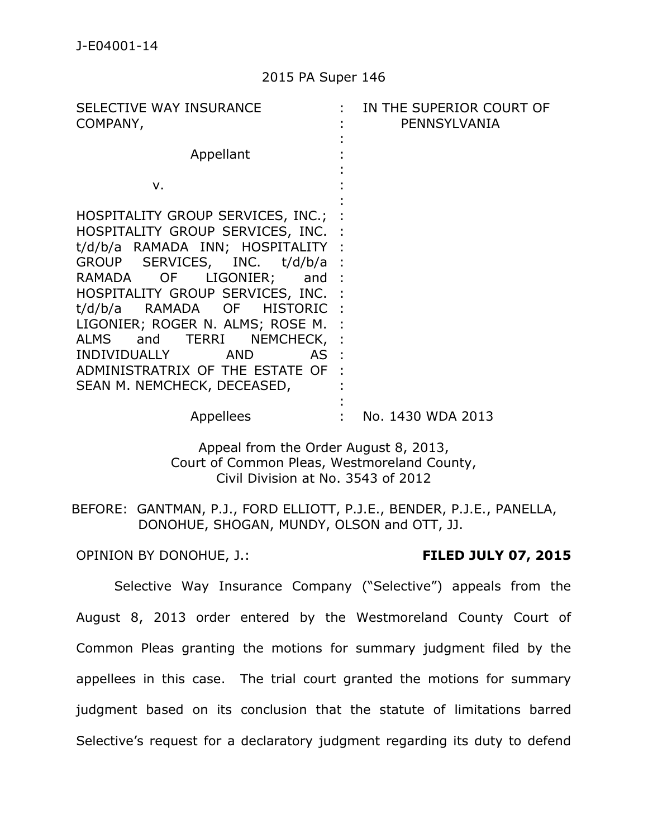| SELECTIVE WAY INSURANCE<br>COMPANY,                                                                                                                                                                                                                                                                                                                                                                                             | IN THE SUPERIOR COURT OF<br>PENNSYLVANIA |
|---------------------------------------------------------------------------------------------------------------------------------------------------------------------------------------------------------------------------------------------------------------------------------------------------------------------------------------------------------------------------------------------------------------------------------|------------------------------------------|
| Appellant                                                                                                                                                                                                                                                                                                                                                                                                                       |                                          |
| ν.                                                                                                                                                                                                                                                                                                                                                                                                                              |                                          |
| HOSPITALITY GROUP SERVICES, INC.;<br>HOSPITALITY GROUP SERVICES, INC. :<br>t/d/b/a RAMADA INN; HOSPITALITY :<br>GROUP SERVICES, INC. t/d/b/a<br>RAMADA OF LIGONIER;<br>and :<br>HOSPITALITY GROUP SERVICES, INC. :<br>RAMADA OF HISTORIC :<br>t/d/b/a<br>LIGONIER; ROGER N. ALMS; ROSE M.<br>ALMS and TERRI NEMCHECK, :<br>INDIVIDUALLY<br><b>AND</b><br>AS :<br>ADMINISTRATRIX OF THE ESTATE OF<br>SEAN M. NEMCHECK, DECEASED, |                                          |
| Appellees                                                                                                                                                                                                                                                                                                                                                                                                                       | No. 1430 WDA 2013                        |

Appeal from the Order August 8, 2013, Court of Common Pleas, Westmoreland County, Civil Division at No. 3543 of 2012

BEFORE: GANTMAN, P.J., FORD ELLIOTT, P.J.E., BENDER, P.J.E., PANELLA, DONOHUE, SHOGAN, MUNDY, OLSON and OTT, JJ.

OPINION BY DONOHUE, J.: **FILED JULY 07, 2015**

Selective Way Insurance Company ("Selective") appeals from the August 8, 2013 order entered by the Westmoreland County Court of Common Pleas granting the motions for summary judgment filed by the appellees in this case. The trial court granted the motions for summary judgment based on its conclusion that the statute of limitations barred Selective's request for a declaratory judgment regarding its duty to defend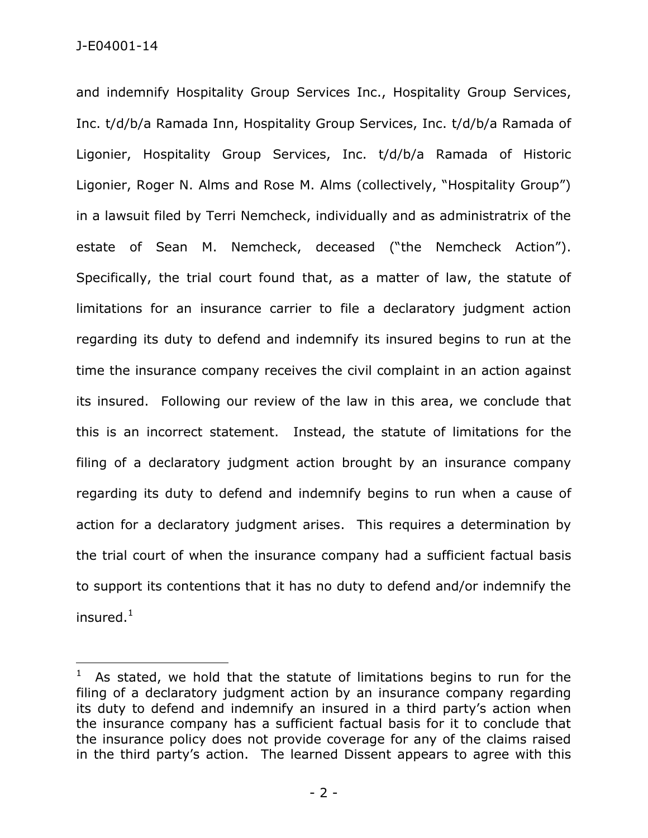and indemnify Hospitality Group Services Inc., Hospitality Group Services, Inc. t/d/b/a Ramada Inn, Hospitality Group Services, Inc. t/d/b/a Ramada of Ligonier, Hospitality Group Services, Inc. t/d/b/a Ramada of Historic Ligonier, Roger N. Alms and Rose M. Alms (collectively, "Hospitality Group") in a lawsuit filed by Terri Nemcheck, individually and as administratrix of the estate of Sean M. Nemcheck, deceased ("the Nemcheck Action"). Specifically, the trial court found that, as a matter of law, the statute of limitations for an insurance carrier to file a declaratory judgment action regarding its duty to defend and indemnify its insured begins to run at the time the insurance company receives the civil complaint in an action against its insured. Following our review of the law in this area, we conclude that this is an incorrect statement. Instead, the statute of limitations for the filing of a declaratory judgment action brought by an insurance company regarding its duty to defend and indemnify begins to run when a cause of action for a declaratory judgment arises. This requires a determination by the trial court of when the insurance company had a sufficient factual basis to support its contentions that it has no duty to defend and/or indemnify the insured. $1$ 

<sup>1</sup> As stated, we hold that the statute of limitations begins to run for the filing of a declaratory judgment action by an insurance company regarding its duty to defend and indemnify an insured in a third party's action when the insurance company has a sufficient factual basis for it to conclude that the insurance policy does not provide coverage for any of the claims raised in the third party's action. The learned Dissent appears to agree with this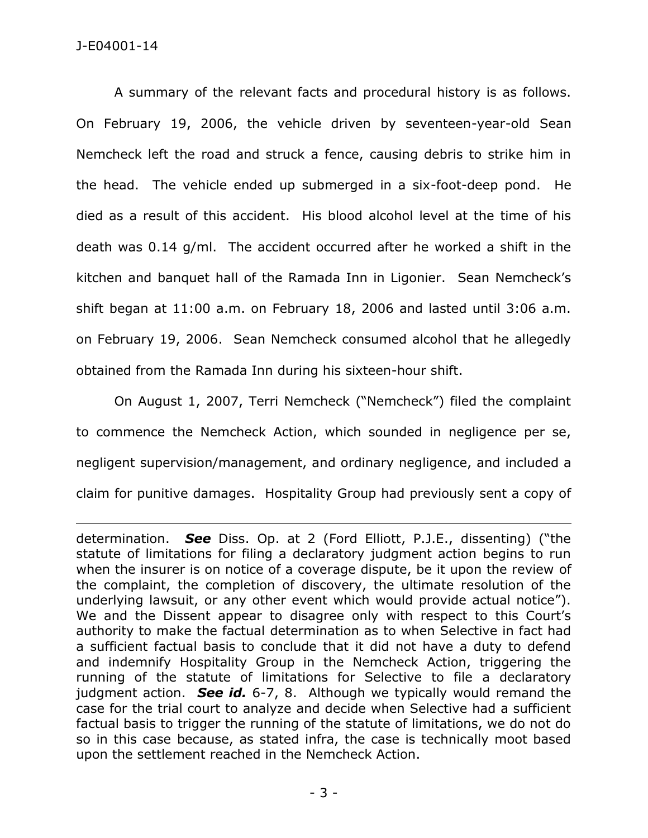A summary of the relevant facts and procedural history is as follows. On February 19, 2006, the vehicle driven by seventeen-year-old Sean Nemcheck left the road and struck a fence, causing debris to strike him in the head. The vehicle ended up submerged in a six-foot-deep pond. He died as a result of this accident. His blood alcohol level at the time of his death was 0.14 g/ml. The accident occurred after he worked a shift in the kitchen and banquet hall of the Ramada Inn in Ligonier. Sean Nemcheck's shift began at 11:00 a.m. on February 18, 2006 and lasted until 3:06 a.m. on February 19, 2006. Sean Nemcheck consumed alcohol that he allegedly obtained from the Ramada Inn during his sixteen-hour shift.

On August 1, 2007, Terri Nemcheck ("Nemcheck") filed the complaint to commence the Nemcheck Action, which sounded in negligence per se, negligent supervision/management, and ordinary negligence, and included a claim for punitive damages. Hospitality Group had previously sent a copy of

determination. *See* Diss. Op. at 2 (Ford Elliott, P.J.E., dissenting) ("the statute of limitations for filing a declaratory judgment action begins to run when the insurer is on notice of a coverage dispute, be it upon the review of the complaint, the completion of discovery, the ultimate resolution of the underlying lawsuit, or any other event which would provide actual notice"). We and the Dissent appear to disagree only with respect to this Court's authority to make the factual determination as to when Selective in fact had a sufficient factual basis to conclude that it did not have a duty to defend and indemnify Hospitality Group in the Nemcheck Action, triggering the running of the statute of limitations for Selective to file a declaratory judgment action. *See id.* 6-7, 8. Although we typically would remand the case for the trial court to analyze and decide when Selective had a sufficient factual basis to trigger the running of the statute of limitations, we do not do so in this case because, as stated infra, the case is technically moot based upon the settlement reached in the Nemcheck Action.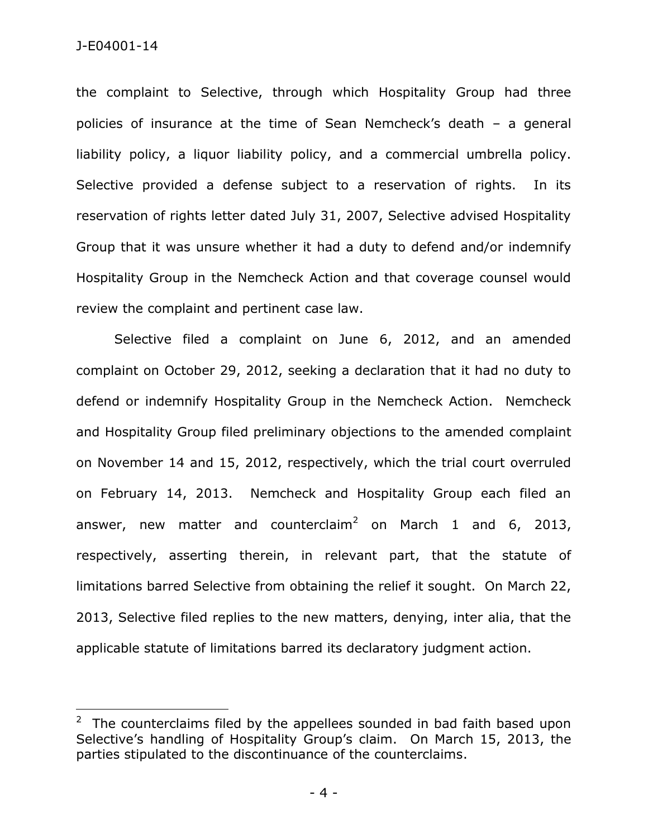J-E04001-14

 $\overline{a}$ 

the complaint to Selective, through which Hospitality Group had three policies of insurance at the time of Sean Nemcheck's death – a general liability policy, a liquor liability policy, and a commercial umbrella policy. Selective provided a defense subject to a reservation of rights. In its reservation of rights letter dated July 31, 2007, Selective advised Hospitality Group that it was unsure whether it had a duty to defend and/or indemnify Hospitality Group in the Nemcheck Action and that coverage counsel would review the complaint and pertinent case law.

Selective filed a complaint on June 6, 2012, and an amended complaint on October 29, 2012, seeking a declaration that it had no duty to defend or indemnify Hospitality Group in the Nemcheck Action. Nemcheck and Hospitality Group filed preliminary objections to the amended complaint on November 14 and 15, 2012, respectively, which the trial court overruled on February 14, 2013. Nemcheck and Hospitality Group each filed an answer, new matter and counterclaim<sup>2</sup> on March 1 and 6, 2013, respectively, asserting therein, in relevant part, that the statute of limitations barred Selective from obtaining the relief it sought. On March 22, 2013, Selective filed replies to the new matters, denying, inter alia, that the applicable statute of limitations barred its declaratory judgment action.

<sup>2</sup> The counterclaims filed by the appellees sounded in bad faith based upon Selective's handling of Hospitality Group's claim. On March 15, 2013, the parties stipulated to the discontinuance of the counterclaims.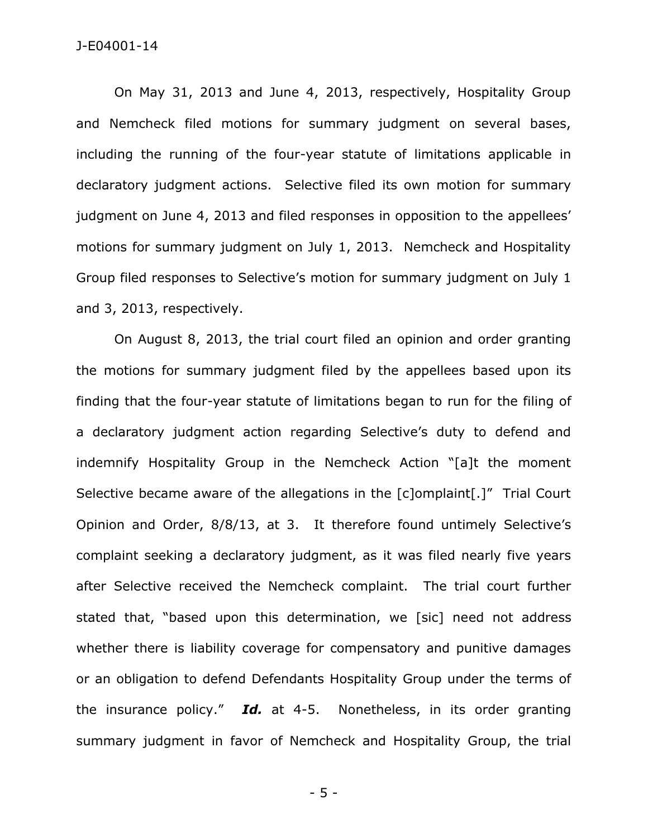## J-E04001-14

On May 31, 2013 and June 4, 2013, respectively, Hospitality Group and Nemcheck filed motions for summary judgment on several bases, including the running of the four-year statute of limitations applicable in declaratory judgment actions. Selective filed its own motion for summary judgment on June 4, 2013 and filed responses in opposition to the appellees' motions for summary judgment on July 1, 2013. Nemcheck and Hospitality Group filed responses to Selective's motion for summary judgment on July 1 and 3, 2013, respectively.

On August 8, 2013, the trial court filed an opinion and order granting the motions for summary judgment filed by the appellees based upon its finding that the four-year statute of limitations began to run for the filing of a declaratory judgment action regarding Selective's duty to defend and indemnify Hospitality Group in the Nemcheck Action "[a]t the moment Selective became aware of the allegations in the [c]omplaint[.]" Trial Court Opinion and Order, 8/8/13, at 3. It therefore found untimely Selective's complaint seeking a declaratory judgment, as it was filed nearly five years after Selective received the Nemcheck complaint. The trial court further stated that, "based upon this determination, we [sic] need not address whether there is liability coverage for compensatory and punitive damages or an obligation to defend Defendants Hospitality Group under the terms of the insurance policy." *Id.* at 4-5. Nonetheless, in its order granting summary judgment in favor of Nemcheck and Hospitality Group, the trial

- 5 -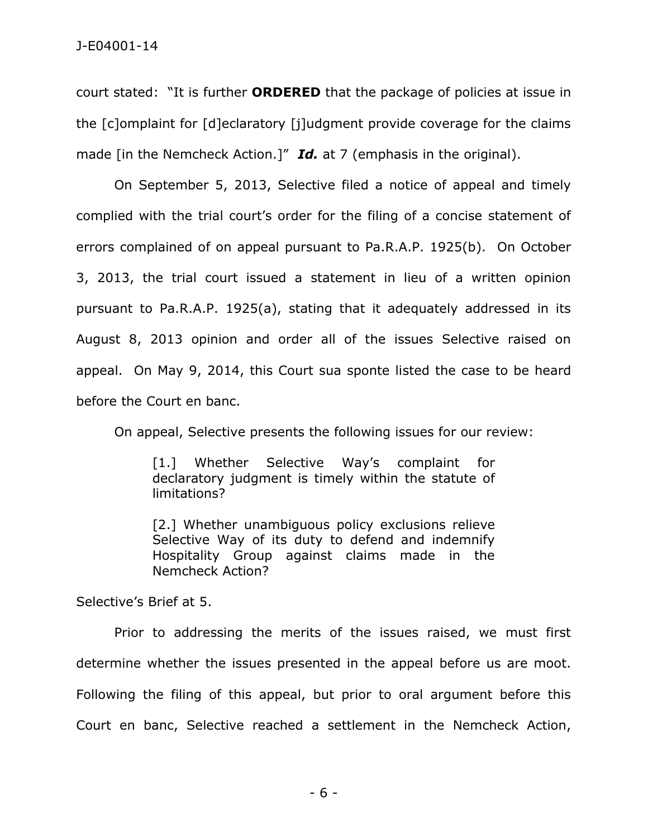court stated: "It is further **ORDERED** that the package of policies at issue in the [c]omplaint for [d]eclaratory [j]udgment provide coverage for the claims made [in the Nemcheck Action.]" *Id.* at 7 (emphasis in the original).

On September 5, 2013, Selective filed a notice of appeal and timely complied with the trial court's order for the filing of a concise statement of errors complained of on appeal pursuant to Pa.R.A.P. 1925(b). On October 3, 2013, the trial court issued a statement in lieu of a written opinion pursuant to Pa.R.A.P. 1925(a), stating that it adequately addressed in its August 8, 2013 opinion and order all of the issues Selective raised on appeal. On May 9, 2014, this Court sua sponte listed the case to be heard before the Court en banc.

On appeal, Selective presents the following issues for our review:

[1.] Whether Selective Way's complaint for declaratory judgment is timely within the statute of limitations?

[2.] Whether unambiguous policy exclusions relieve Selective Way of its duty to defend and indemnify Hospitality Group against claims made in the Nemcheck Action?

Selective's Brief at 5.

Prior to addressing the merits of the issues raised, we must first determine whether the issues presented in the appeal before us are moot. Following the filing of this appeal, but prior to oral argument before this Court en banc, Selective reached a settlement in the Nemcheck Action,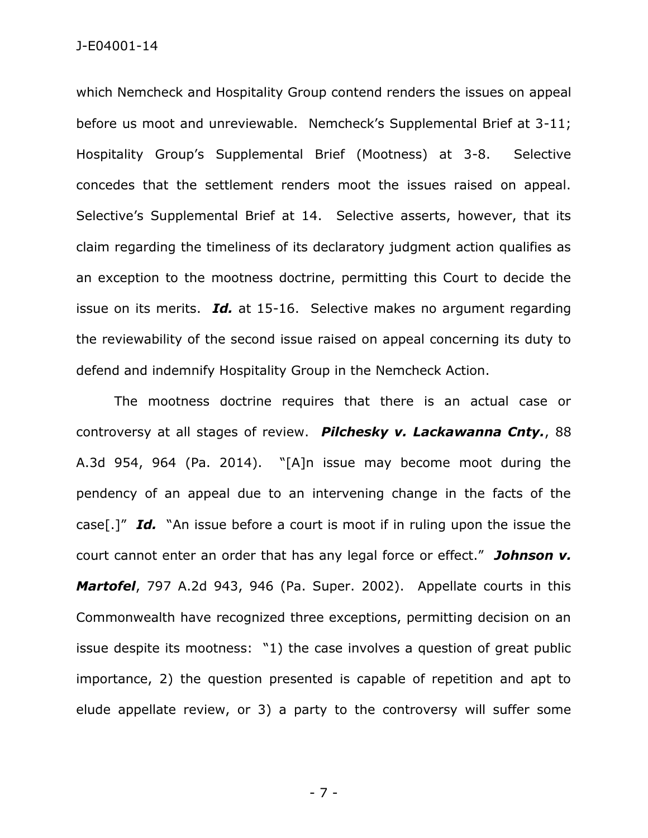which Nemcheck and Hospitality Group contend renders the issues on appeal before us moot and unreviewable. Nemcheck's Supplemental Brief at 3-11; Hospitality Group's Supplemental Brief (Mootness) at 3-8. Selective concedes that the settlement renders moot the issues raised on appeal. Selective's Supplemental Brief at 14. Selective asserts, however, that its claim regarding the timeliness of its declaratory judgment action qualifies as an exception to the mootness doctrine, permitting this Court to decide the issue on its merits. *Id.* at 15-16. Selective makes no argument regarding the reviewability of the second issue raised on appeal concerning its duty to defend and indemnify Hospitality Group in the Nemcheck Action.

The mootness doctrine requires that there is an actual case or controversy at all stages of review. *Pilchesky v. Lackawanna Cnty.*, 88 A.3d 954, 964 (Pa. 2014). "[A]n issue may become moot during the pendency of an appeal due to an intervening change in the facts of the case[.]" *Id.* "An issue before a court is moot if in ruling upon the issue the court cannot enter an order that has any legal force or effect." *Johnson v. Martofel*, 797 A.2d 943, 946 (Pa. Super. 2002). Appellate courts in this Commonwealth have recognized three exceptions, permitting decision on an issue despite its mootness: "1) the case involves a question of great public importance, 2) the question presented is capable of repetition and apt to elude appellate review, or 3) a party to the controversy will suffer some

- 7 -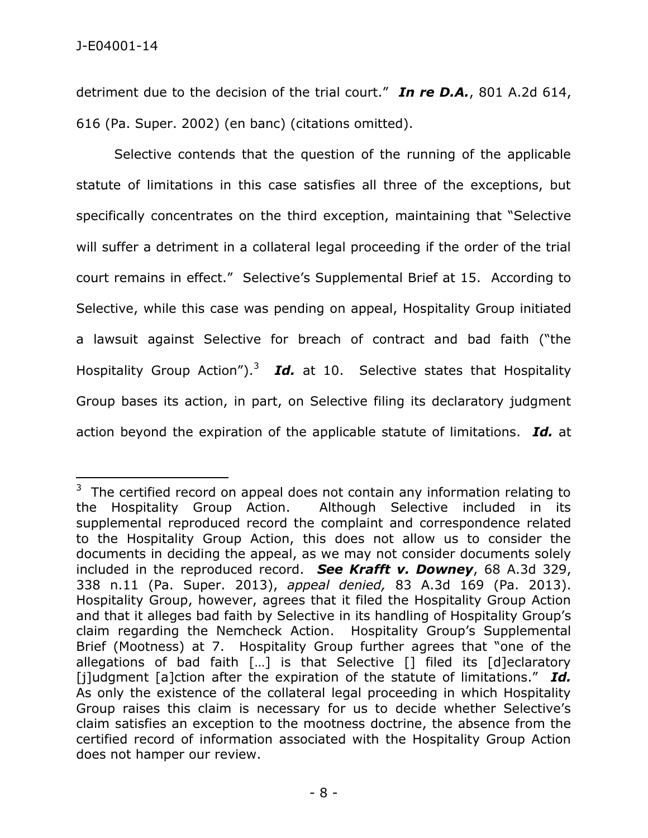detriment due to the decision of the trial court." *In re D.A.*, 801 A.2d 614, 616 (Pa. Super. 2002) (en banc) (citations omitted).

Selective contends that the question of the running of the applicable statute of limitations in this case satisfies all three of the exceptions, but specifically concentrates on the third exception, maintaining that "Selective will suffer a detriment in a collateral legal proceeding if the order of the trial court remains in effect." Selective's Supplemental Brief at 15. According to Selective, while this case was pending on appeal, Hospitality Group initiated a lawsuit against Selective for breach of contract and bad faith ("the Hospitality Group Action").<sup>3</sup> Id. at 10. Selective states that Hospitality Group bases its action, in part, on Selective filing its declaratory judgment action beyond the expiration of the applicable statute of limitations. *Id.* at

 $3$  The certified record on appeal does not contain any information relating to the Hospitality Group Action. Although Selective included in its supplemental reproduced record the complaint and correspondence related to the Hospitality Group Action, this does not allow us to consider the documents in deciding the appeal, as we may not consider documents solely included in the reproduced record. *See Krafft v. Downey*, 68 A.3d 329, 338 n.11 (Pa. Super. 2013), *appeal denied,* 83 A.3d 169 (Pa. 2013). Hospitality Group, however, agrees that it filed the Hospitality Group Action and that it alleges bad faith by Selective in its handling of Hospitality Group's claim regarding the Nemcheck Action. Hospitality Group's Supplemental Brief (Mootness) at 7. Hospitality Group further agrees that "one of the allegations of bad faith […] is that Selective [] filed its [d]eclaratory [j]udgment [a]ction after the expiration of the statute of limitations." *Id.* As only the existence of the collateral legal proceeding in which Hospitality Group raises this claim is necessary for us to decide whether Selective's claim satisfies an exception to the mootness doctrine, the absence from the certified record of information associated with the Hospitality Group Action does not hamper our review.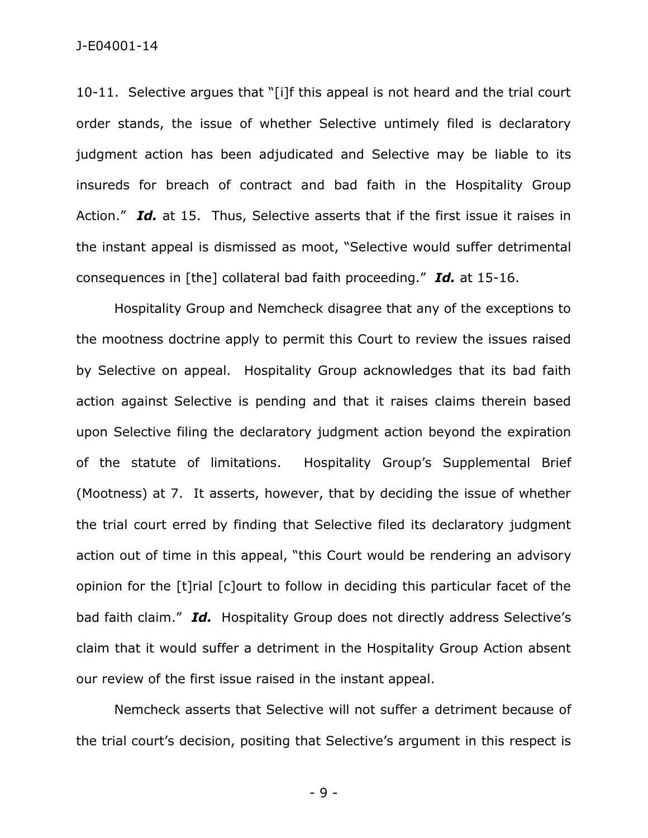10-11. Selective argues that "[i]f this appeal is not heard and the trial court order stands, the issue of whether Selective untimely filed is declaratory judgment action has been adjudicated and Selective may be liable to its insureds for breach of contract and bad faith in the Hospitality Group Action." *Id.* at 15. Thus, Selective asserts that if the first issue it raises in the instant appeal is dismissed as moot, "Selective would suffer detrimental consequences in [the] collateral bad faith proceeding." *Id.* at 15-16.

Hospitality Group and Nemcheck disagree that any of the exceptions to the mootness doctrine apply to permit this Court to review the issues raised by Selective on appeal. Hospitality Group acknowledges that its bad faith action against Selective is pending and that it raises claims therein based upon Selective filing the declaratory judgment action beyond the expiration of the statute of limitations. Hospitality Group's Supplemental Brief (Mootness) at 7. It asserts, however, that by deciding the issue of whether the trial court erred by finding that Selective filed its declaratory judgment action out of time in this appeal, "this Court would be rendering an advisory opinion for the [t]rial [c]ourt to follow in deciding this particular facet of the bad faith claim." *Id.* Hospitality Group does not directly address Selective's claim that it would suffer a detriment in the Hospitality Group Action absent our review of the first issue raised in the instant appeal.

Nemcheck asserts that Selective will not suffer a detriment because of the trial court's decision, positing that Selective's argument in this respect is

- 9 -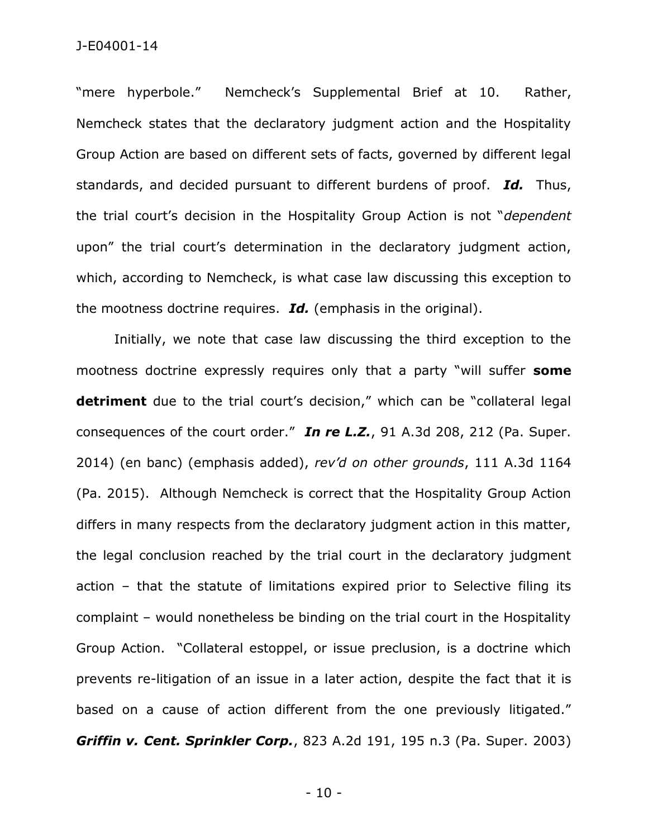"mere hyperbole." Nemcheck's Supplemental Brief at 10. Rather, Nemcheck states that the declaratory judgment action and the Hospitality Group Action are based on different sets of facts, governed by different legal standards, and decided pursuant to different burdens of proof. *Id.* Thus, the trial court's decision in the Hospitality Group Action is not "*dependent* upon" the trial court's determination in the declaratory judgment action, which, according to Nemcheck, is what case law discussing this exception to the mootness doctrine requires. *Id.* (emphasis in the original).

Initially, we note that case law discussing the third exception to the mootness doctrine expressly requires only that a party "will suffer **some detriment** due to the trial court's decision," which can be "collateral legal consequences of the court order." *In re L.Z.*, 91 A.3d 208, 212 (Pa. Super. 2014) (en banc) (emphasis added), *rev'd on other grounds*, 111 A.3d 1164 (Pa. 2015). Although Nemcheck is correct that the Hospitality Group Action differs in many respects from the declaratory judgment action in this matter, the legal conclusion reached by the trial court in the declaratory judgment action – that the statute of limitations expired prior to Selective filing its complaint – would nonetheless be binding on the trial court in the Hospitality Group Action. "Collateral estoppel, or issue preclusion, is a doctrine which prevents re-litigation of an issue in a later action, despite the fact that it is based on a cause of action different from the one previously litigated." *Griffin v. Cent. Sprinkler Corp.*, 823 A.2d 191, 195 n.3 (Pa. Super. 2003)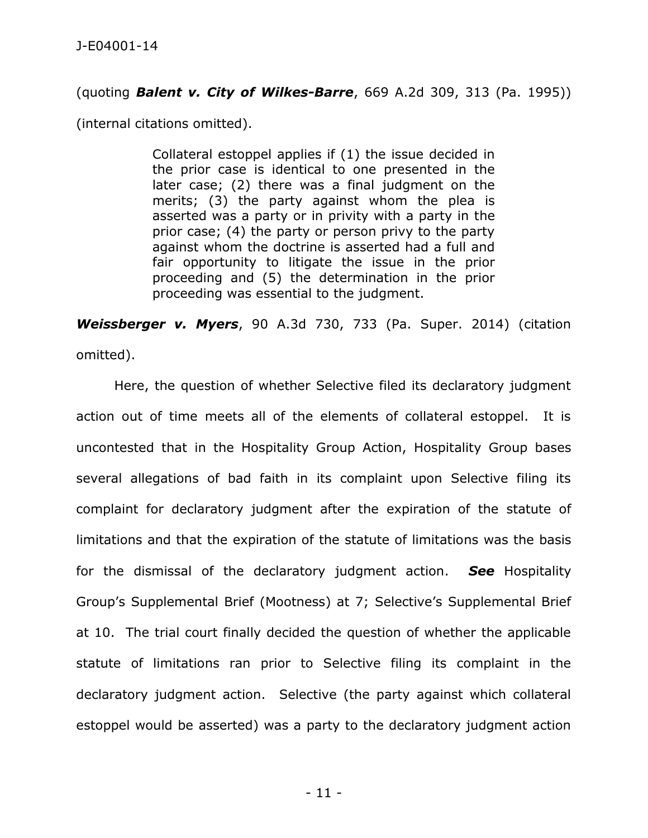## (quoting *Balent v. City of Wilkes-Barre*, 669 A.2d 309, 313 (Pa. 1995))

(internal citations omitted).

Collateral estoppel applies if (1) the issue decided in the prior case is identical to one presented in the later case; (2) there was a final judgment on the merits; (3) the party against whom the plea is asserted was a party or in privity with a party in the prior case; (4) the party or person privy to the party against whom the doctrine is asserted had a full and fair opportunity to litigate the issue in the prior proceeding and (5) the determination in the prior proceeding was essential to the judgment.

*Weissberger v. Myers*, 90 A.3d 730, 733 (Pa. Super. 2014) (citation omitted).

Here, the question of whether Selective filed its declaratory judgment action out of time meets all of the elements of collateral estoppel. It is uncontested that in the Hospitality Group Action, Hospitality Group bases several allegations of bad faith in its complaint upon Selective filing its complaint for declaratory judgment after the expiration of the statute of limitations and that the expiration of the statute of limitations was the basis for the dismissal of the declaratory judgment action. *See* Hospitality Group's Supplemental Brief (Mootness) at 7; Selective's Supplemental Brief at 10. The trial court finally decided the question of whether the applicable statute of limitations ran prior to Selective filing its complaint in the declaratory judgment action. Selective (the party against which collateral estoppel would be asserted) was a party to the declaratory judgment action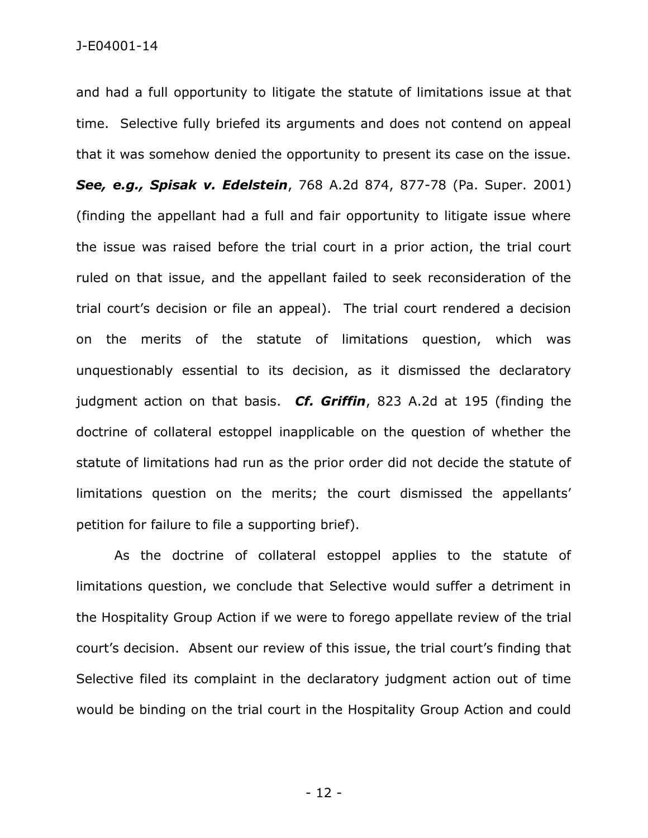and had a full opportunity to litigate the statute of limitations issue at that time. Selective fully briefed its arguments and does not contend on appeal that it was somehow denied the opportunity to present its case on the issue. *See, e.g., Spisak v. Edelstein*, 768 A.2d 874, 877-78 (Pa. Super. 2001) (finding the appellant had a full and fair opportunity to litigate issue where the issue was raised before the trial court in a prior action, the trial court ruled on that issue, and the appellant failed to seek reconsideration of the trial court's decision or file an appeal). The trial court rendered a decision on the merits of the statute of limitations question, which was unquestionably essential to its decision, as it dismissed the declaratory judgment action on that basis. *Cf. Griffin*, 823 A.2d at 195 (finding the doctrine of collateral estoppel inapplicable on the question of whether the statute of limitations had run as the prior order did not decide the statute of limitations question on the merits; the court dismissed the appellants' petition for failure to file a supporting brief).

As the doctrine of collateral estoppel applies to the statute of limitations question, we conclude that Selective would suffer a detriment in the Hospitality Group Action if we were to forego appellate review of the trial court's decision. Absent our review of this issue, the trial court's finding that Selective filed its complaint in the declaratory judgment action out of time would be binding on the trial court in the Hospitality Group Action and could

- 12 -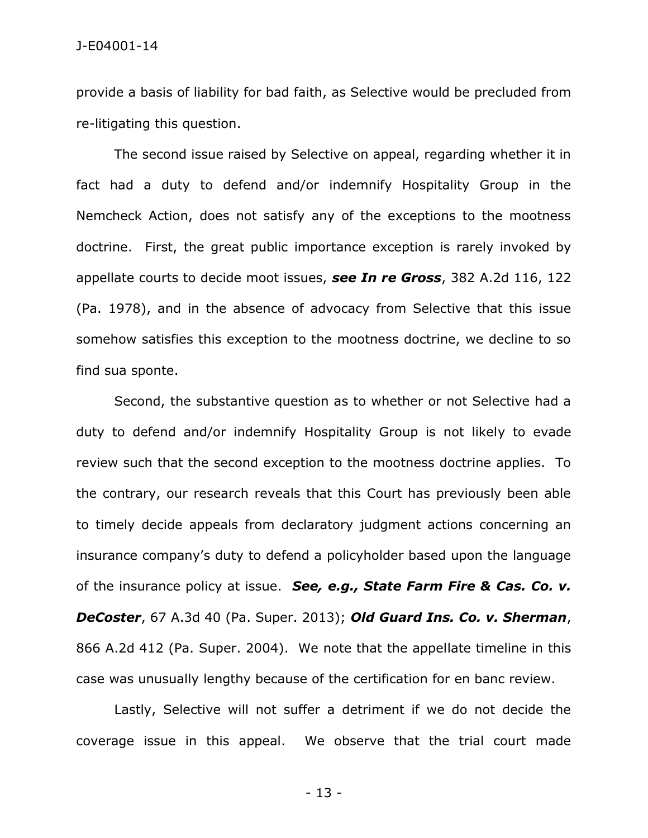provide a basis of liability for bad faith, as Selective would be precluded from re-litigating this question.

The second issue raised by Selective on appeal, regarding whether it in fact had a duty to defend and/or indemnify Hospitality Group in the Nemcheck Action, does not satisfy any of the exceptions to the mootness doctrine. First, the great public importance exception is rarely invoked by appellate courts to decide moot issues, *see In re Gross*, 382 A.2d 116, 122 (Pa. 1978), and in the absence of advocacy from Selective that this issue somehow satisfies this exception to the mootness doctrine, we decline to so find sua sponte.

Second, the substantive question as to whether or not Selective had a duty to defend and/or indemnify Hospitality Group is not likely to evade review such that the second exception to the mootness doctrine applies. To the contrary, our research reveals that this Court has previously been able to timely decide appeals from declaratory judgment actions concerning an insurance company's duty to defend a policyholder based upon the language of the insurance policy at issue. *See, e.g., State Farm Fire & Cas. Co. v. DeCoster*, 67 A.3d 40 (Pa. Super. 2013); *Old Guard Ins. Co. v. Sherman*, 866 A.2d 412 (Pa. Super. 2004). We note that the appellate timeline in this case was unusually lengthy because of the certification for en banc review.

Lastly, Selective will not suffer a detriment if we do not decide the coverage issue in this appeal. We observe that the trial court made

- 13 -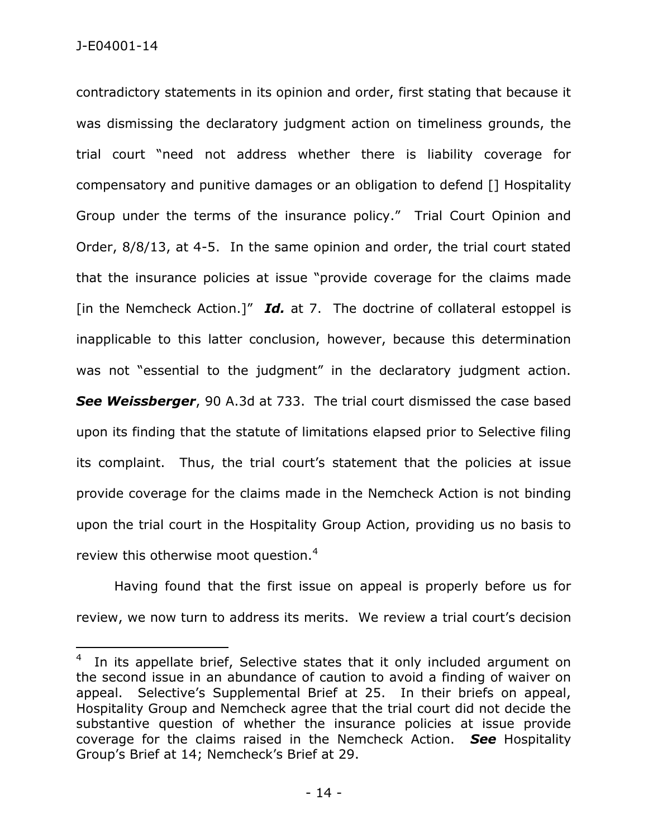contradictory statements in its opinion and order, first stating that because it was dismissing the declaratory judgment action on timeliness grounds, the trial court "need not address whether there is liability coverage for compensatory and punitive damages or an obligation to defend [] Hospitality Group under the terms of the insurance policy." Trial Court Opinion and Order, 8/8/13, at 4-5. In the same opinion and order, the trial court stated that the insurance policies at issue "provide coverage for the claims made [in the Nemcheck Action.]" *Id.* at 7. The doctrine of collateral estoppel is inapplicable to this latter conclusion, however, because this determination was not "essential to the judgment" in the declaratory judgment action. *See Weissberger*, 90 A.3d at 733. The trial court dismissed the case based upon its finding that the statute of limitations elapsed prior to Selective filing its complaint. Thus, the trial court's statement that the policies at issue provide coverage for the claims made in the Nemcheck Action is not binding upon the trial court in the Hospitality Group Action, providing us no basis to review this otherwise moot question.<sup>4</sup>

Having found that the first issue on appeal is properly before us for review, we now turn to address its merits. We review a trial court's decision

<sup>4</sup> In its appellate brief, Selective states that it only included argument on the second issue in an abundance of caution to avoid a finding of waiver on appeal. Selective's Supplemental Brief at 25. In their briefs on appeal, Hospitality Group and Nemcheck agree that the trial court did not decide the substantive question of whether the insurance policies at issue provide coverage for the claims raised in the Nemcheck Action. *See* Hospitality Group's Brief at 14; Nemcheck's Brief at 29.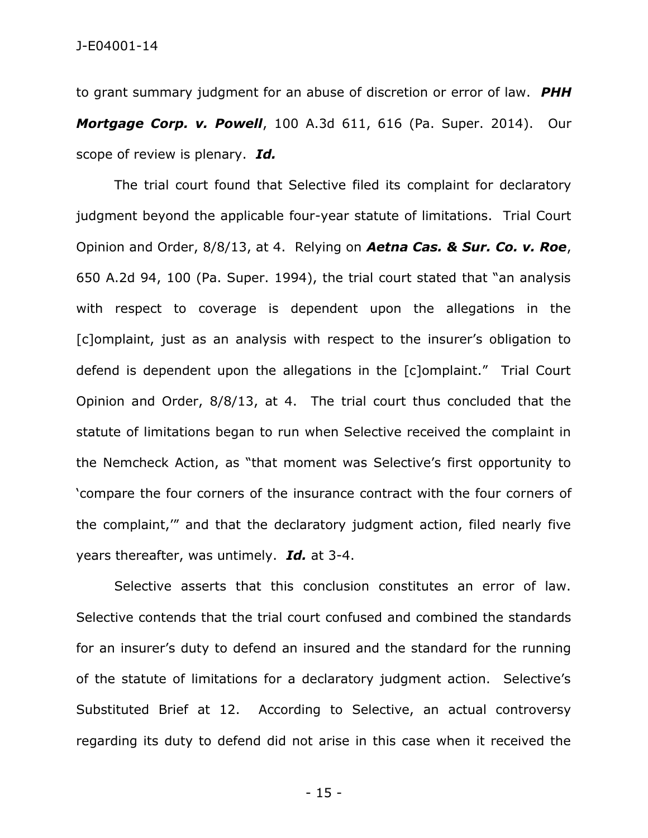to grant summary judgment for an abuse of discretion or error of law. *PHH Mortgage Corp. v. Powell*, 100 A.3d 611, 616 (Pa. Super. 2014). Our scope of review is plenary. *Id.*

The trial court found that Selective filed its complaint for declaratory judgment beyond the applicable four-year statute of limitations. Trial Court Opinion and Order, 8/8/13, at 4. Relying on *Aetna Cas. & Sur. Co. v. Roe*, 650 A.2d 94, 100 (Pa. Super. 1994), the trial court stated that "an analysis with respect to coverage is dependent upon the allegations in the [c]omplaint, just as an analysis with respect to the insurer's obligation to defend is dependent upon the allegations in the [c]omplaint." Trial Court Opinion and Order, 8/8/13, at 4. The trial court thus concluded that the statute of limitations began to run when Selective received the complaint in the Nemcheck Action, as "that moment was Selective's first opportunity to 'compare the four corners of the insurance contract with the four corners of the complaint,'" and that the declaratory judgment action, filed nearly five years thereafter, was untimely. *Id.* at 3-4.

Selective asserts that this conclusion constitutes an error of law. Selective contends that the trial court confused and combined the standards for an insurer's duty to defend an insured and the standard for the running of the statute of limitations for a declaratory judgment action. Selective's Substituted Brief at 12. According to Selective, an actual controversy regarding its duty to defend did not arise in this case when it received the

- 15 -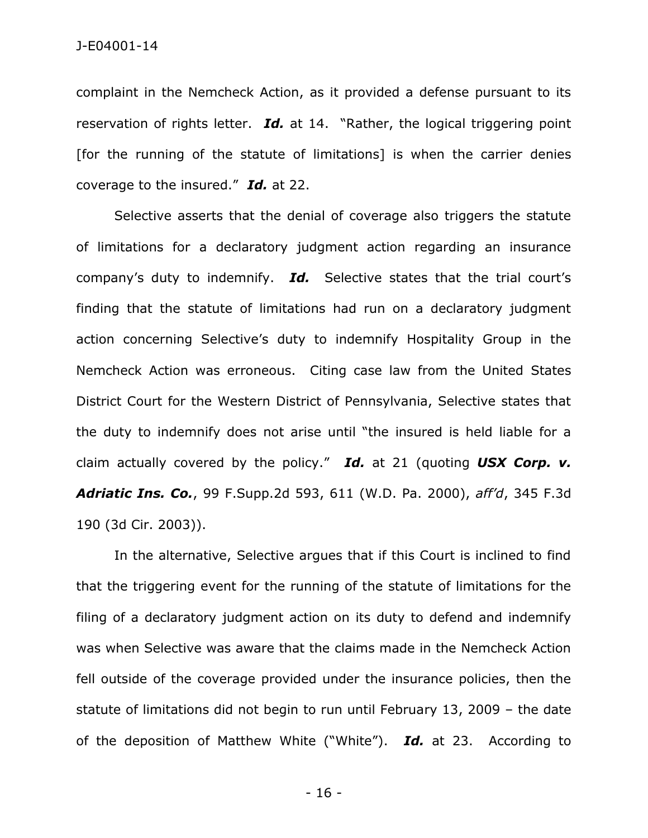J-E04001-14

complaint in the Nemcheck Action, as it provided a defense pursuant to its reservation of rights letter. *Id.* at 14. "Rather, the logical triggering point [for the running of the statute of limitations] is when the carrier denies coverage to the insured." *Id.* at 22.

Selective asserts that the denial of coverage also triggers the statute of limitations for a declaratory judgment action regarding an insurance company's duty to indemnify. *Id.* Selective states that the trial court's finding that the statute of limitations had run on a declaratory judgment action concerning Selective's duty to indemnify Hospitality Group in the Nemcheck Action was erroneous. Citing case law from the United States District Court for the Western District of Pennsylvania, Selective states that the duty to indemnify does not arise until "the insured is held liable for a claim actually covered by the policy." *Id.* at 21 (quoting *USX Corp. v. Adriatic Ins. Co.*, 99 F.Supp.2d 593, 611 (W.D. Pa. 2000), *aff'd*, 345 F.3d 190 (3d Cir. 2003)).

In the alternative, Selective argues that if this Court is inclined to find that the triggering event for the running of the statute of limitations for the filing of a declaratory judgment action on its duty to defend and indemnify was when Selective was aware that the claims made in the Nemcheck Action fell outside of the coverage provided under the insurance policies, then the statute of limitations did not begin to run until February 13, 2009 – the date of the deposition of Matthew White ("White"). *Id.* at 23. According to

- 16 -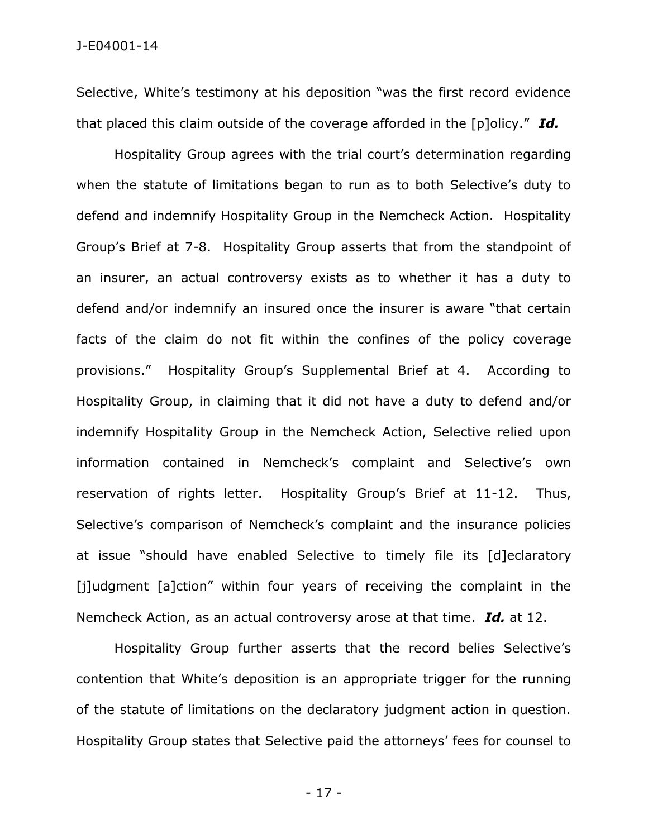Selective, White's testimony at his deposition "was the first record evidence that placed this claim outside of the coverage afforded in the [p]olicy." *Id.*

Hospitality Group agrees with the trial court's determination regarding when the statute of limitations began to run as to both Selective's duty to defend and indemnify Hospitality Group in the Nemcheck Action. Hospitality Group's Brief at 7-8. Hospitality Group asserts that from the standpoint of an insurer, an actual controversy exists as to whether it has a duty to defend and/or indemnify an insured once the insurer is aware "that certain facts of the claim do not fit within the confines of the policy coverage provisions." Hospitality Group's Supplemental Brief at 4. According to Hospitality Group, in claiming that it did not have a duty to defend and/or indemnify Hospitality Group in the Nemcheck Action, Selective relied upon information contained in Nemcheck's complaint and Selective's own reservation of rights letter. Hospitality Group's Brief at 11-12. Thus, Selective's comparison of Nemcheck's complaint and the insurance policies at issue "should have enabled Selective to timely file its [d]eclaratory [j]udgment [a]ction" within four years of receiving the complaint in the Nemcheck Action, as an actual controversy arose at that time. *Id.* at 12.

Hospitality Group further asserts that the record belies Selective's contention that White's deposition is an appropriate trigger for the running of the statute of limitations on the declaratory judgment action in question. Hospitality Group states that Selective paid the attorneys' fees for counsel to

- 17 -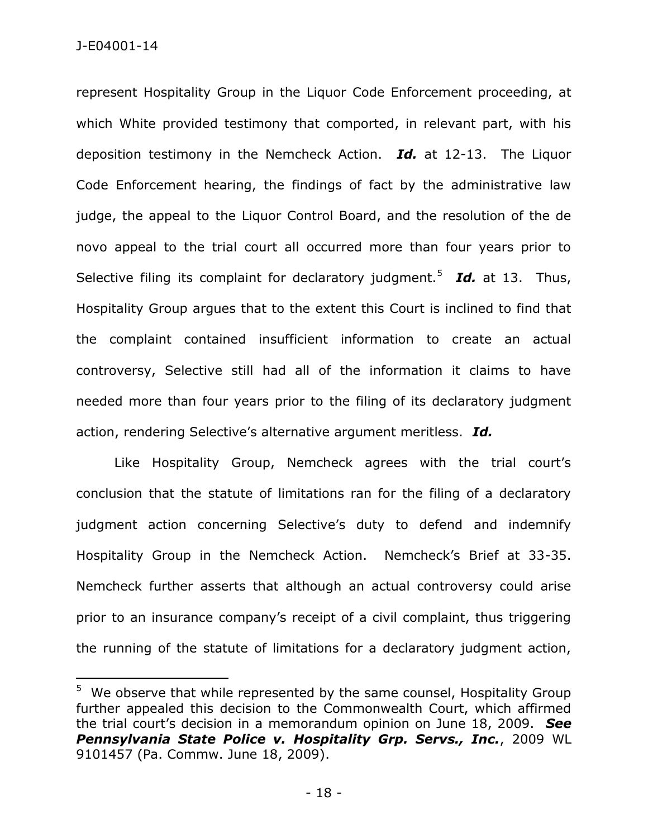represent Hospitality Group in the Liquor Code Enforcement proceeding, at which White provided testimony that comported, in relevant part, with his deposition testimony in the Nemcheck Action. *Id.* at 12-13. The Liquor Code Enforcement hearing, the findings of fact by the administrative law judge, the appeal to the Liquor Control Board, and the resolution of the de novo appeal to the trial court all occurred more than four years prior to Selective filing its complaint for declaratory judgment.<sup>5</sup> Id. at 13. Thus, Hospitality Group argues that to the extent this Court is inclined to find that the complaint contained insufficient information to create an actual controversy, Selective still had all of the information it claims to have needed more than four years prior to the filing of its declaratory judgment action, rendering Selective's alternative argument meritless. *Id.*

Like Hospitality Group, Nemcheck agrees with the trial court's conclusion that the statute of limitations ran for the filing of a declaratory judgment action concerning Selective's duty to defend and indemnify Hospitality Group in the Nemcheck Action. Nemcheck's Brief at 33-35. Nemcheck further asserts that although an actual controversy could arise prior to an insurance company's receipt of a civil complaint, thus triggering the running of the statute of limitations for a declaratory judgment action,

 $5$  We observe that while represented by the same counsel, Hospitality Group further appealed this decision to the Commonwealth Court, which affirmed the trial court's decision in a memorandum opinion on June 18, 2009. *See Pennsylvania State Police v. Hospitality Grp. Servs., Inc.*, 2009 WL 9101457 (Pa. Commw. June 18, 2009).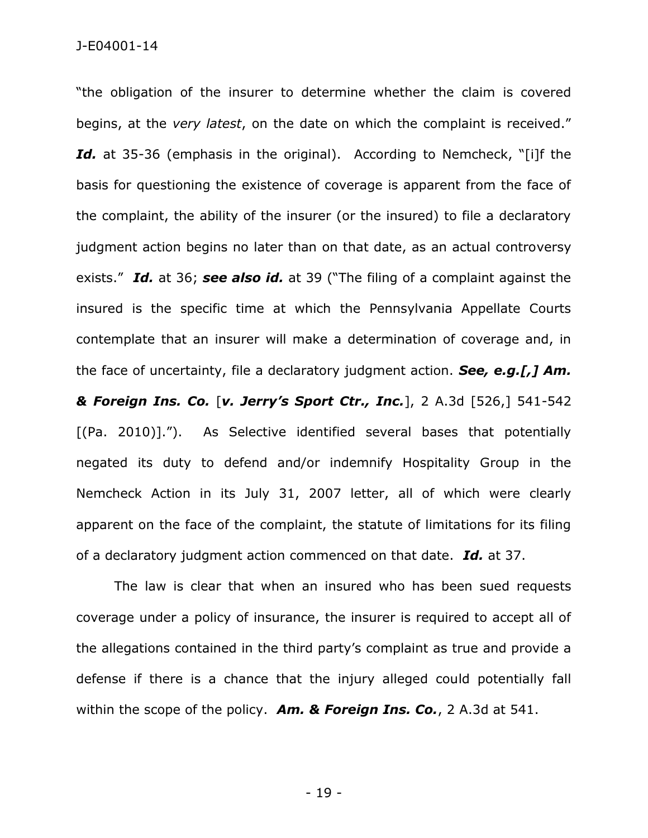## J-E04001-14

"the obligation of the insurer to determine whether the claim is covered begins, at the *very latest*, on the date on which the complaint is received." Id. at 35-36 (emphasis in the original). According to Nemcheck, "[i]f the basis for questioning the existence of coverage is apparent from the face of the complaint, the ability of the insurer (or the insured) to file a declaratory judgment action begins no later than on that date, as an actual controversy exists." *Id.* at 36; *see also id.* at 39 ("The filing of a complaint against the insured is the specific time at which the Pennsylvania Appellate Courts contemplate that an insurer will make a determination of coverage and, in the face of uncertainty, file a declaratory judgment action. *See, e.g.[,] Am. & Foreign Ins. Co.* [*v. Jerry's Sport Ctr., Inc.*], 2 A.3d [526,] 541-542 [(Pa. 2010)]."). As Selective identified several bases that potentially negated its duty to defend and/or indemnify Hospitality Group in the Nemcheck Action in its July 31, 2007 letter, all of which were clearly apparent on the face of the complaint, the statute of limitations for its filing of a declaratory judgment action commenced on that date. *Id.* at 37.

The law is clear that when an insured who has been sued requests coverage under a policy of insurance, the insurer is required to accept all of the allegations contained in the third party's complaint as true and provide a defense if there is a chance that the injury alleged could potentially fall within the scope of the policy. *Am. & Foreign Ins. Co.*, 2 A.3d at 541.

- 19 -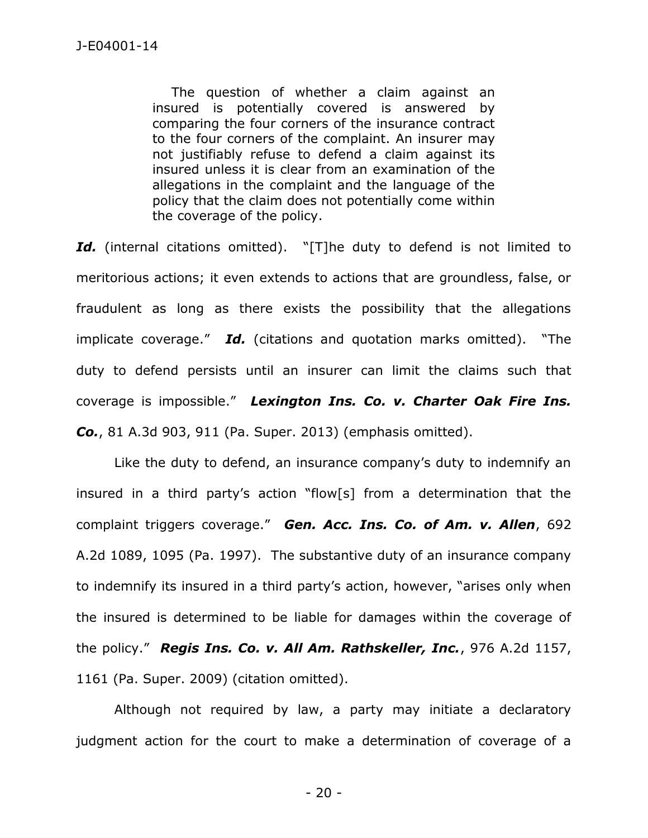The question of whether a claim against an insured is potentially covered is answered by comparing the four corners of the insurance contract to the four corners of the complaint. An insurer may not justifiably refuse to defend a claim against its insured unless it is clear from an examination of the allegations in the complaint and the language of the policy that the claim does not potentially come within the coverage of the policy.

Id. (internal citations omitted). "[T]he duty to defend is not limited to meritorious actions; it even extends to actions that are groundless, false, or fraudulent as long as there exists the possibility that the allegations implicate coverage." *Id.* (citations and quotation marks omitted). "The duty to defend persists until an insurer can limit the claims such that coverage is impossible." *Lexington Ins. Co. v. Charter Oak Fire Ins. Co.*, 81 A.3d 903, 911 (Pa. Super. 2013) (emphasis omitted).

Like the duty to defend, an insurance company's duty to indemnify an insured in a third party's action "flow[s] from a determination that the complaint triggers coverage." *Gen. Acc. Ins. Co. of Am. v. Allen*, 692 A.2d 1089, 1095 (Pa. 1997). The substantive duty of an insurance company to indemnify its insured in a third party's action, however, "arises only when the insured is determined to be liable for damages within the coverage of the policy." *Regis Ins. Co. v. All Am. Rathskeller, Inc.*, 976 A.2d 1157, 1161 (Pa. Super. 2009) (citation omitted).

Although not required by law, a party may initiate a declaratory judgment action for the court to make a determination of coverage of a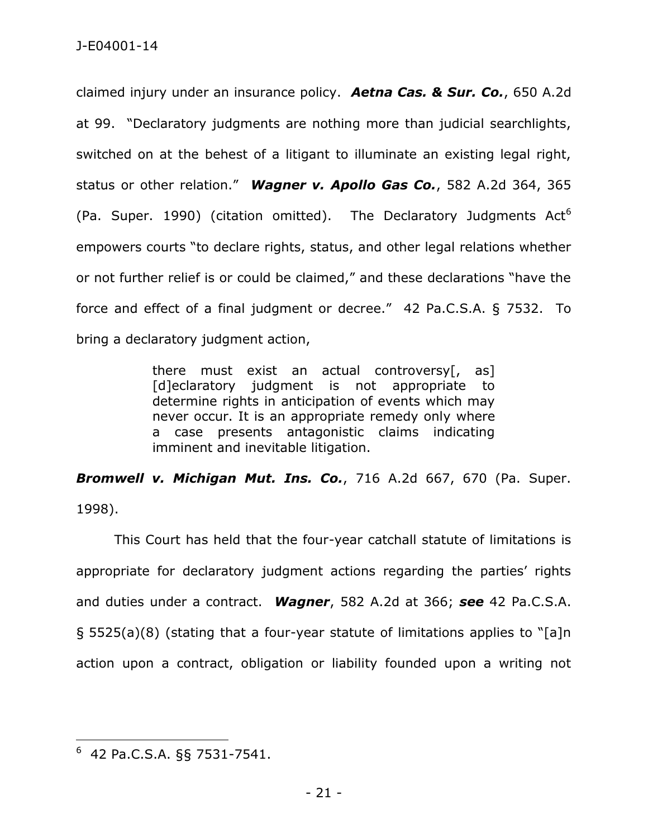claimed injury under an insurance policy. *Aetna Cas. & Sur. Co.*, 650 A.2d at 99. "Declaratory judgments are nothing more than judicial searchlights, switched on at the behest of a litigant to illuminate an existing legal right, status or other relation." *Wagner v. Apollo Gas Co.*, 582 A.2d 364, 365 (Pa. Super. 1990) (citation omitted). The Declaratory Judgments  $Act<sup>6</sup>$ empowers courts "to declare rights, status, and other legal relations whether or not further relief is or could be claimed," and these declarations "have the force and effect of a final judgment or decree." 42 Pa.C.S.A. § 7532. To bring a declaratory judgment action,

> there must exist an actual controversy[, as] [d]eclaratory judgment is not appropriate to determine rights in anticipation of events which may never occur. It is an appropriate remedy only where a case presents antagonistic claims indicating imminent and inevitable litigation.

*Bromwell v. Michigan Mut. Ins. Co.*, 716 A.2d 667, 670 (Pa. Super. 1998).

This Court has held that the four-year catchall statute of limitations is appropriate for declaratory judgment actions regarding the parties' rights and duties under a contract. *Wagner*, 582 A.2d at 366; *see* 42 Pa.C.S.A. § 5525(a)(8) (stating that a four-year statute of limitations applies to "[a]n action upon a contract, obligation or liability founded upon a writing not

 $\overline{a}$ 

<sup>6</sup> 42 Pa.C.S.A. §§ 7531-7541.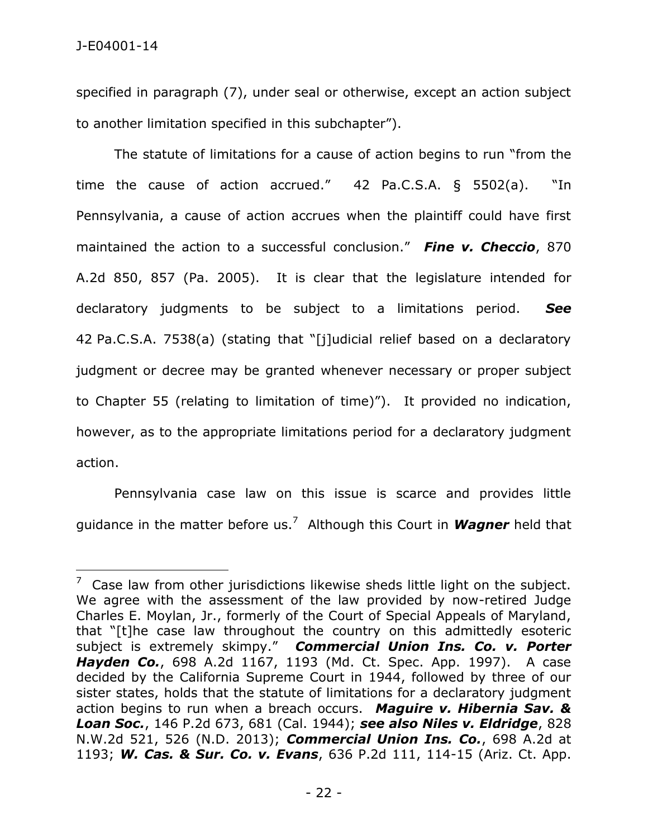specified in paragraph (7), under seal or otherwise, except an action subject to another limitation specified in this subchapter").

The statute of limitations for a cause of action begins to run "from the time the cause of action accrued." 42 Pa.C.S.A. § 5502(a). "In Pennsylvania, a cause of action accrues when the plaintiff could have first maintained the action to a successful conclusion." *Fine v. Checcio*, 870 A.2d 850, 857 (Pa. 2005). It is clear that the legislature intended for declaratory judgments to be subject to a limitations period. *See*  42 Pa.C.S.A. 7538(a) (stating that "[j]udicial relief based on a declaratory judgment or decree may be granted whenever necessary or proper subject to Chapter 55 (relating to limitation of time)"). It provided no indication, however, as to the appropriate limitations period for a declaratory judgment action.

Pennsylvania case law on this issue is scarce and provides little guidance in the matter before us.<sup>7</sup> Although this Court in *Wagner* held that

 $7$  Case law from other jurisdictions likewise sheds little light on the subject. We agree with the assessment of the law provided by now-retired Judge Charles E. Moylan, Jr., formerly of the Court of Special Appeals of Maryland, that "[t]he case law throughout the country on this admittedly esoteric subject is extremely skimpy." *Commercial Union Ins. Co. v. Porter Hayden Co.*, 698 A.2d 1167, 1193 (Md. Ct. Spec. App. 1997). A case decided by the California Supreme Court in 1944, followed by three of our sister states, holds that the statute of limitations for a declaratory judgment action begins to run when a breach occurs. *Maguire v. Hibernia Sav. & Loan Soc.*, 146 P.2d 673, 681 (Cal. 1944); *see also Niles v. Eldridge*, 828 N.W.2d 521, 526 (N.D. 2013); *Commercial Union Ins. Co.*, 698 A.2d at 1193; *W. Cas. & Sur. Co. v. Evans*, 636 P.2d 111, 114-15 (Ariz. Ct. App.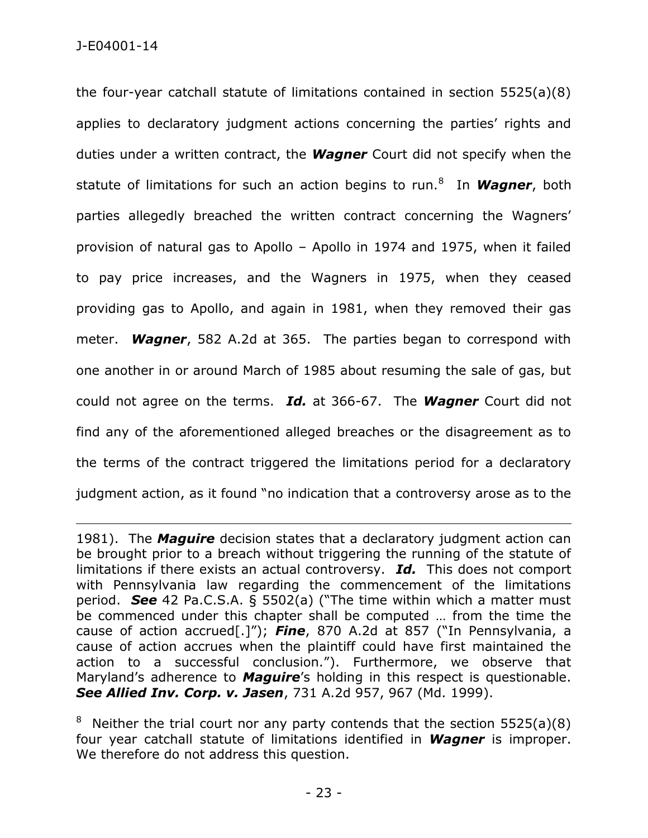the four-year catchall statute of limitations contained in section 5525(a)(8) applies to declaratory judgment actions concerning the parties' rights and duties under a written contract, the *Wagner* Court did not specify when the statute of limitations for such an action begins to run.<sup>8</sup> In **Wagner**, both parties allegedly breached the written contract concerning the Wagners' provision of natural gas to Apollo – Apollo in 1974 and 1975, when it failed to pay price increases, and the Wagners in 1975, when they ceased providing gas to Apollo, and again in 1981, when they removed their gas meter. *Wagner*, 582 A.2d at 365. The parties began to correspond with one another in or around March of 1985 about resuming the sale of gas, but could not agree on the terms. *Id.* at 366-67. The *Wagner* Court did not find any of the aforementioned alleged breaches or the disagreement as to the terms of the contract triggered the limitations period for a declaratory judgment action, as it found "no indication that a controversy arose as to the

<sup>1981).</sup> The *Maguire* decision states that a declaratory judgment action can be brought prior to a breach without triggering the running of the statute of limitations if there exists an actual controversy. *Id.* This does not comport with Pennsylvania law regarding the commencement of the limitations period. *See* 42 Pa.C.S.A. § 5502(a) ("The time within which a matter must be commenced under this chapter shall be computed … from the time the cause of action accrued[.]"); *Fine*, 870 A.2d at 857 ("In Pennsylvania, a cause of action accrues when the plaintiff could have first maintained the action to a successful conclusion."). Furthermore, we observe that Maryland's adherence to *Maguire*'s holding in this respect is questionable. *See Allied Inv. Corp. v. Jasen*, 731 A.2d 957, 967 (Md. 1999).

<sup>&</sup>lt;sup>8</sup> Neither the trial court nor any party contends that the section  $5525(a)(8)$ four year catchall statute of limitations identified in *Wagner* is improper. We therefore do not address this question.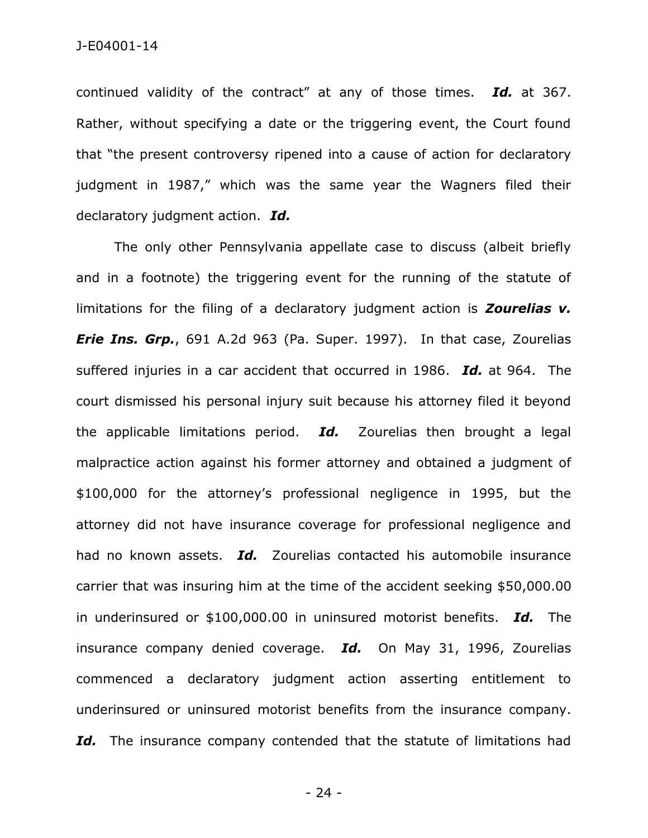continued validity of the contract" at any of those times. *Id.* at 367. Rather, without specifying a date or the triggering event, the Court found that "the present controversy ripened into a cause of action for declaratory judgment in 1987," which was the same year the Wagners filed their declaratory judgment action. *Id.*

The only other Pennsylvania appellate case to discuss (albeit briefly and in a footnote) the triggering event for the running of the statute of limitations for the filing of a declaratory judgment action is *Zourelias v. Erie Ins. Grp.*, 691 A.2d 963 (Pa. Super. 1997). In that case, Zourelias suffered injuries in a car accident that occurred in 1986. *Id.* at 964. The court dismissed his personal injury suit because his attorney filed it beyond the applicable limitations period. *Id.* Zourelias then brought a legal malpractice action against his former attorney and obtained a judgment of \$100,000 for the attorney's professional negligence in 1995, but the attorney did not have insurance coverage for professional negligence and had no known assets. *Id.* Zourelias contacted his automobile insurance carrier that was insuring him at the time of the accident seeking \$50,000.00 in underinsured or \$100,000.00 in uninsured motorist benefits. *Id.* The insurance company denied coverage. *Id.* On May 31, 1996, Zourelias commenced a declaratory judgment action asserting entitlement to underinsured or uninsured motorist benefits from the insurance company. Id. The insurance company contended that the statute of limitations had

- 24 -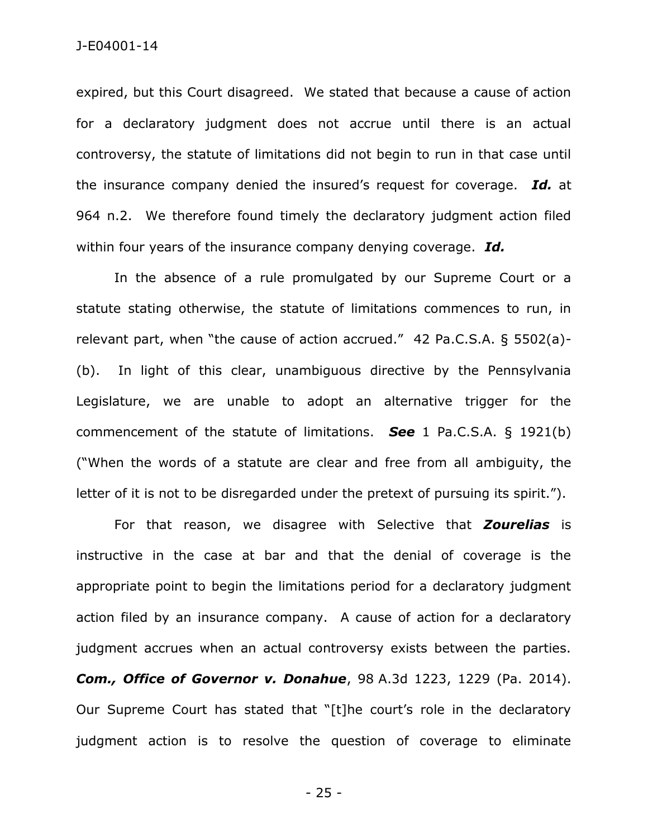expired, but this Court disagreed. We stated that because a cause of action for a declaratory judgment does not accrue until there is an actual controversy, the statute of limitations did not begin to run in that case until the insurance company denied the insured's request for coverage. *Id.* at 964 n.2. We therefore found timely the declaratory judgment action filed within four years of the insurance company denying coverage. *Id.*

In the absence of a rule promulgated by our Supreme Court or a statute stating otherwise, the statute of limitations commences to run, in relevant part, when "the cause of action accrued." 42 Pa.C.S.A. § 5502(a)- (b). In light of this clear, unambiguous directive by the Pennsylvania Legislature, we are unable to adopt an alternative trigger for the commencement of the statute of limitations. *See* 1 Pa.C.S.A. § 1921(b) ("When the words of a statute are clear and free from all ambiguity, the letter of it is not to be disregarded under the pretext of pursuing its spirit.").

For that reason, we disagree with Selective that *Zourelias* is instructive in the case at bar and that the denial of coverage is the appropriate point to begin the limitations period for a declaratory judgment action filed by an insurance company. A cause of action for a declaratory judgment accrues when an actual controversy exists between the parties. *Com., Office of Governor v. Donahue*, 98 A.3d 1223, 1229 (Pa. 2014). Our Supreme Court has stated that "[t]he court's role in the declaratory judgment action is to resolve the question of coverage to eliminate

- 25 -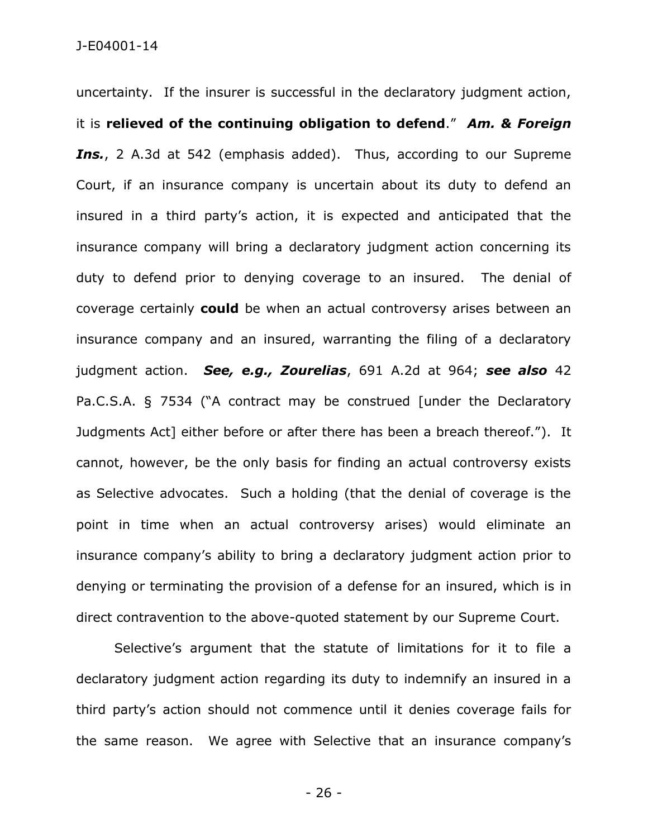uncertainty. If the insurer is successful in the declaratory judgment action, it is **relieved of the continuing obligation to defend**." *Am. & Foreign*  Ins., 2 A.3d at 542 (emphasis added). Thus, according to our Supreme Court, if an insurance company is uncertain about its duty to defend an insured in a third party's action, it is expected and anticipated that the insurance company will bring a declaratory judgment action concerning its duty to defend prior to denying coverage to an insured. The denial of coverage certainly **could** be when an actual controversy arises between an insurance company and an insured, warranting the filing of a declaratory judgment action. *See, e.g., Zourelias*, 691 A.2d at 964; *see also* 42 Pa.C.S.A. § 7534 ("A contract may be construed [under the Declaratory Judgments Act] either before or after there has been a breach thereof."). It cannot, however, be the only basis for finding an actual controversy exists as Selective advocates. Such a holding (that the denial of coverage is the point in time when an actual controversy arises) would eliminate an insurance company's ability to bring a declaratory judgment action prior to denying or terminating the provision of a defense for an insured, which is in direct contravention to the above-quoted statement by our Supreme Court.

Selective's argument that the statute of limitations for it to file a declaratory judgment action regarding its duty to indemnify an insured in a third party's action should not commence until it denies coverage fails for the same reason. We agree with Selective that an insurance company's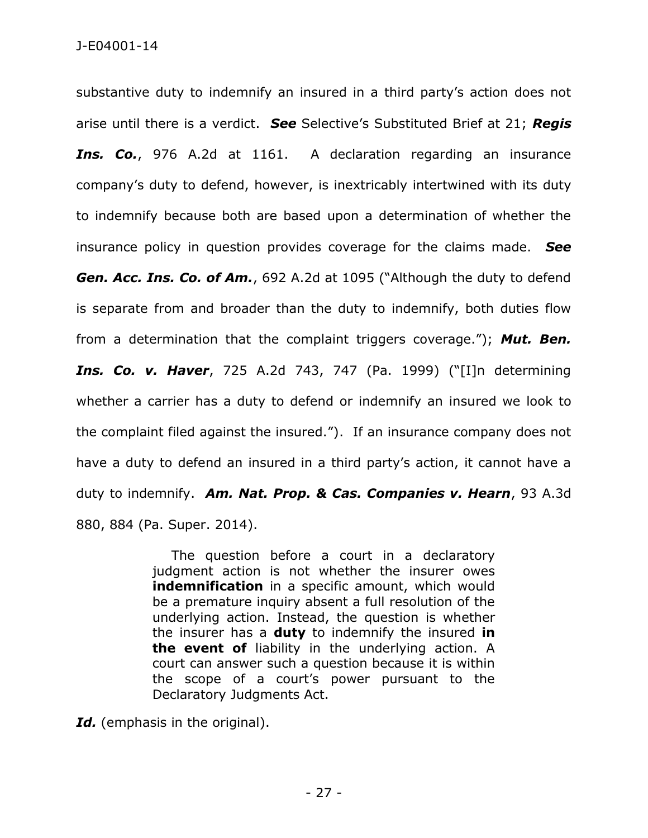substantive duty to indemnify an insured in a third party's action does not arise until there is a verdict. *See* Selective's Substituted Brief at 21; *Regis Ins. Co.*, 976 A.2d at 1161. A declaration regarding an insurance company's duty to defend, however, is inextricably intertwined with its duty to indemnify because both are based upon a determination of whether the insurance policy in question provides coverage for the claims made. *See Gen. Acc. Ins. Co. of Am.*, 692 A.2d at 1095 ("Although the duty to defend is separate from and broader than the duty to indemnify, both duties flow from a determination that the complaint triggers coverage."); *Mut. Ben. Ins. Co. v. Haver*, 725 A.2d 743, 747 (Pa. 1999) ("[I]n determining whether a carrier has a duty to defend or indemnify an insured we look to the complaint filed against the insured."). If an insurance company does not have a duty to defend an insured in a third party's action, it cannot have a duty to indemnify. *Am. Nat. Prop. & Cas. Companies v. Hearn*, 93 A.3d 880, 884 (Pa. Super. 2014).

> The question before a court in a declaratory judgment action is not whether the insurer owes **indemnification** in a specific amount, which would be a premature inquiry absent a full resolution of the underlying action. Instead, the question is whether the insurer has a **duty** to indemnify the insured **in the event of** liability in the underlying action. A court can answer such a question because it is within the scope of a court's power pursuant to the Declaratory Judgments Act.

Id. (emphasis in the original).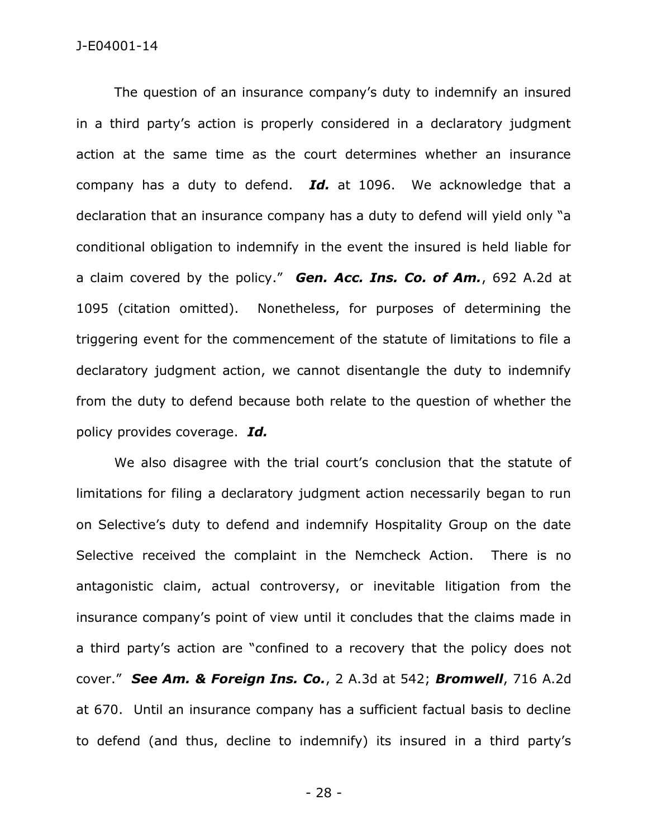The question of an insurance company's duty to indemnify an insured in a third party's action is properly considered in a declaratory judgment action at the same time as the court determines whether an insurance company has a duty to defend. *Id.* at 1096. We acknowledge that a declaration that an insurance company has a duty to defend will yield only "a conditional obligation to indemnify in the event the insured is held liable for a claim covered by the policy." *Gen. Acc. Ins. Co. of Am.*, 692 A.2d at 1095 (citation omitted). Nonetheless, for purposes of determining the triggering event for the commencement of the statute of limitations to file a declaratory judgment action, we cannot disentangle the duty to indemnify from the duty to defend because both relate to the question of whether the policy provides coverage. *Id.*

We also disagree with the trial court's conclusion that the statute of limitations for filing a declaratory judgment action necessarily began to run on Selective's duty to defend and indemnify Hospitality Group on the date Selective received the complaint in the Nemcheck Action. There is no antagonistic claim, actual controversy, or inevitable litigation from the insurance company's point of view until it concludes that the claims made in a third party's action are "confined to a recovery that the policy does not cover." *See Am. & Foreign Ins. Co.*, 2 A.3d at 542; *Bromwell*, 716 A.2d at 670. Until an insurance company has a sufficient factual basis to decline to defend (and thus, decline to indemnify) its insured in a third party's

- 28 -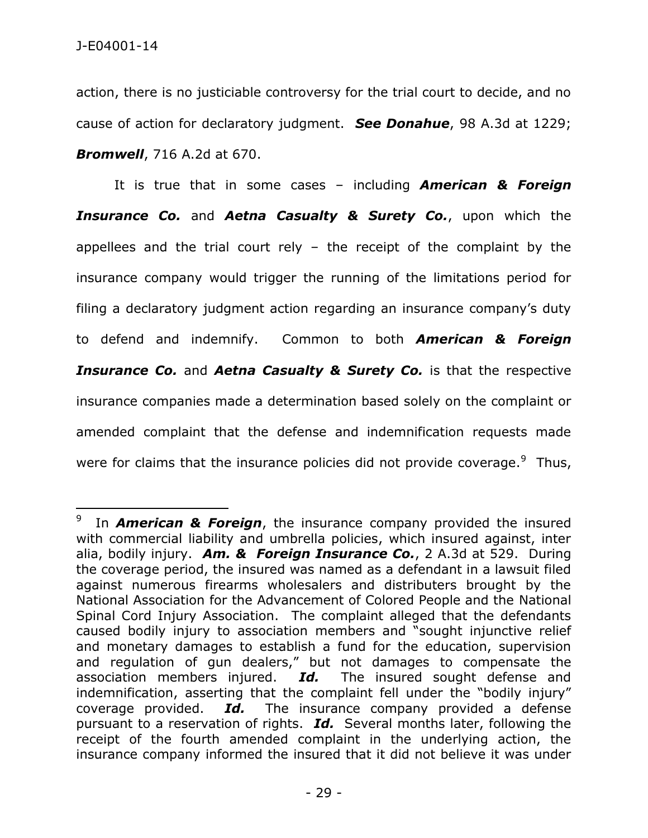action, there is no justiciable controversy for the trial court to decide, and no cause of action for declaratory judgment. *See Donahue*, 98 A.3d at 1229; *Bromwell*, 716 A.2d at 670.

It is true that in some cases – including *American & Foreign Insurance Co.* and *Aetna Casualty & Surety Co.*, upon which the appellees and the trial court rely  $-$  the receipt of the complaint by the insurance company would trigger the running of the limitations period for filing a declaratory judgment action regarding an insurance company's duty to defend and indemnify. Common to both *American & Foreign Insurance Co.* and *Aetna Casualty & Surety Co.* is that the respective insurance companies made a determination based solely on the complaint or amended complaint that the defense and indemnification requests made were for claims that the insurance policies did not provide coverage. $9$  Thus,

<sup>9</sup> In *American & Foreign*, the insurance company provided the insured with commercial liability and umbrella policies, which insured against, inter alia, bodily injury. *Am. & Foreign Insurance Co.*, 2 A.3d at 529. During the coverage period, the insured was named as a defendant in a lawsuit filed against numerous firearms wholesalers and distributers brought by the National Association for the Advancement of Colored People and the National Spinal Cord Injury Association. The complaint alleged that the defendants caused bodily injury to association members and "sought injunctive relief and monetary damages to establish a fund for the education, supervision and regulation of gun dealers," but not damages to compensate the association members injured. *Id.* The insured sought defense and indemnification, asserting that the complaint fell under the "bodily injury" coverage provided. *Id.* The insurance company provided a defense pursuant to a reservation of rights. *Id.* Several months later, following the receipt of the fourth amended complaint in the underlying action, the insurance company informed the insured that it did not believe it was under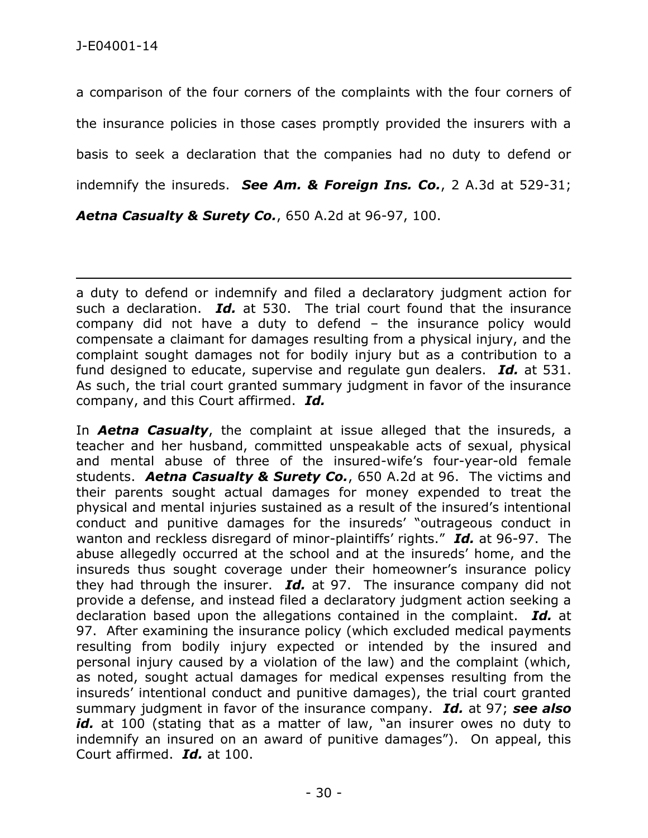a comparison of the four corners of the complaints with the four corners of the insurance policies in those cases promptly provided the insurers with a basis to seek a declaration that the companies had no duty to defend or indemnify the insureds. *See Am. & Foreign Ins. Co.*, 2 A.3d at 529-31;

*Aetna Casualty & Surety Co.*, 650 A.2d at 96-97, 100.

 $\overline{a}$ a duty to defend or indemnify and filed a declaratory judgment action for such a declaration. *Id.* at 530. The trial court found that the insurance company did not have a duty to defend – the insurance policy would compensate a claimant for damages resulting from a physical injury, and the complaint sought damages not for bodily injury but as a contribution to a fund designed to educate, supervise and regulate gun dealers. *Id.* at 531. As such, the trial court granted summary judgment in favor of the insurance company, and this Court affirmed. *Id.*

In *Aetna Casualty*, the complaint at issue alleged that the insureds, a teacher and her husband, committed unspeakable acts of sexual, physical and mental abuse of three of the insured-wife's four-year-old female students. *Aetna Casualty & Surety Co.*, 650 A.2d at 96. The victims and their parents sought actual damages for money expended to treat the physical and mental injuries sustained as a result of the insured's intentional conduct and punitive damages for the insureds' "outrageous conduct in wanton and reckless disregard of minor-plaintiffs' rights." *Id.* at 96-97. The abuse allegedly occurred at the school and at the insureds' home, and the insureds thus sought coverage under their homeowner's insurance policy they had through the insurer. *Id.* at 97. The insurance company did not provide a defense, and instead filed a declaratory judgment action seeking a declaration based upon the allegations contained in the complaint. *Id.* at 97. After examining the insurance policy (which excluded medical payments resulting from bodily injury expected or intended by the insured and personal injury caused by a violation of the law) and the complaint (which, as noted, sought actual damages for medical expenses resulting from the insureds' intentional conduct and punitive damages), the trial court granted summary judgment in favor of the insurance company. *Id.* at 97; *see also*  id. at 100 (stating that as a matter of law, "an insurer owes no duty to indemnify an insured on an award of punitive damages"). On appeal, this Court affirmed. *Id.* at 100.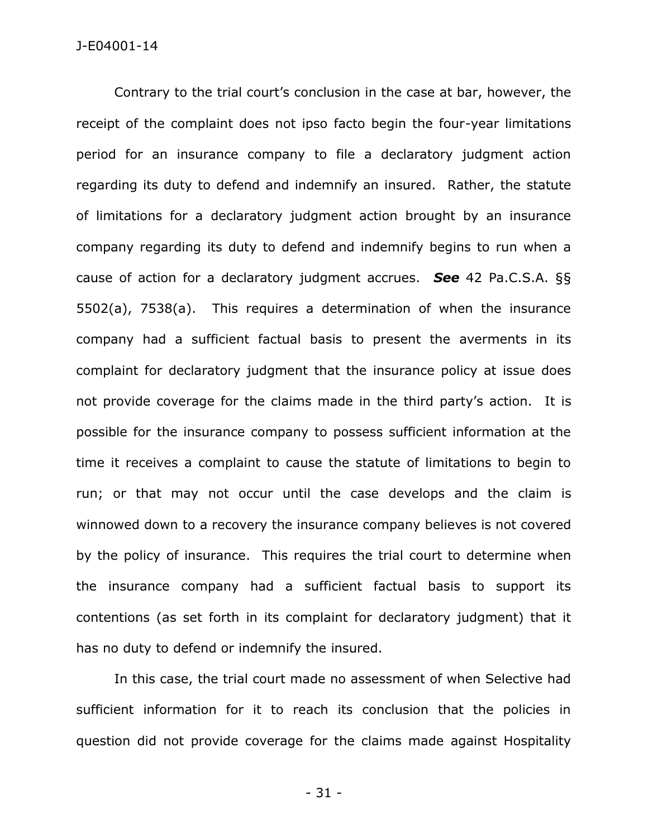Contrary to the trial court's conclusion in the case at bar, however, the receipt of the complaint does not ipso facto begin the four-year limitations period for an insurance company to file a declaratory judgment action regarding its duty to defend and indemnify an insured. Rather, the statute of limitations for a declaratory judgment action brought by an insurance company regarding its duty to defend and indemnify begins to run when a cause of action for a declaratory judgment accrues. *See* 42 Pa.C.S.A. §§ 5502(a), 7538(a). This requires a determination of when the insurance company had a sufficient factual basis to present the averments in its complaint for declaratory judgment that the insurance policy at issue does not provide coverage for the claims made in the third party's action. It is possible for the insurance company to possess sufficient information at the time it receives a complaint to cause the statute of limitations to begin to run; or that may not occur until the case develops and the claim is winnowed down to a recovery the insurance company believes is not covered by the policy of insurance. This requires the trial court to determine when the insurance company had a sufficient factual basis to support its contentions (as set forth in its complaint for declaratory judgment) that it has no duty to defend or indemnify the insured.

In this case, the trial court made no assessment of when Selective had sufficient information for it to reach its conclusion that the policies in question did not provide coverage for the claims made against Hospitality

- 31 -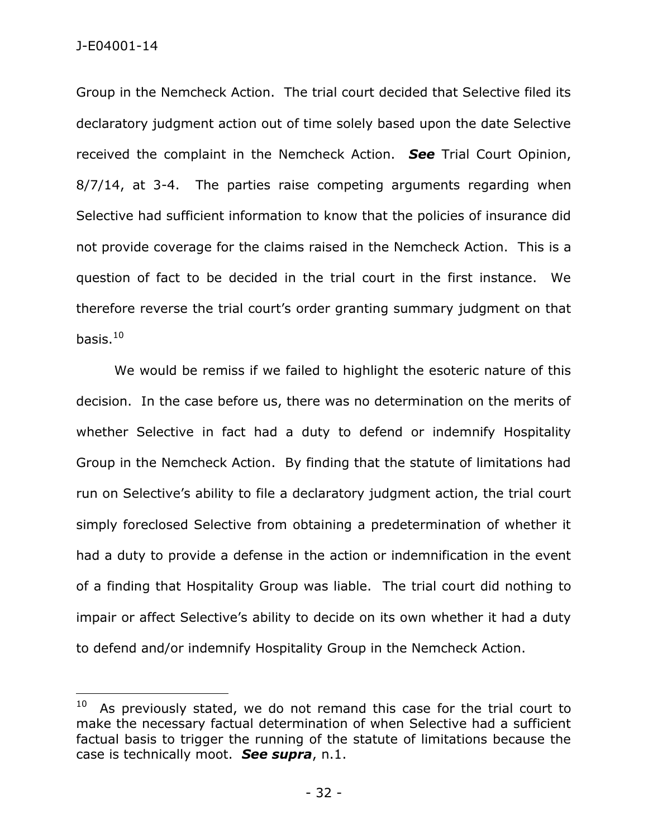J-E04001-14

 $\overline{a}$ 

Group in the Nemcheck Action. The trial court decided that Selective filed its declaratory judgment action out of time solely based upon the date Selective received the complaint in the Nemcheck Action. *See* Trial Court Opinion, 8/7/14, at 3-4. The parties raise competing arguments regarding when Selective had sufficient information to know that the policies of insurance did not provide coverage for the claims raised in the Nemcheck Action. This is a question of fact to be decided in the trial court in the first instance. We therefore reverse the trial court's order granting summary judgment on that basis. $10$ 

We would be remiss if we failed to highlight the esoteric nature of this decision. In the case before us, there was no determination on the merits of whether Selective in fact had a duty to defend or indemnify Hospitality Group in the Nemcheck Action. By finding that the statute of limitations had run on Selective's ability to file a declaratory judgment action, the trial court simply foreclosed Selective from obtaining a predetermination of whether it had a duty to provide a defense in the action or indemnification in the event of a finding that Hospitality Group was liable. The trial court did nothing to impair or affect Selective's ability to decide on its own whether it had a duty to defend and/or indemnify Hospitality Group in the Nemcheck Action.

<sup>10</sup> As previously stated, we do not remand this case for the trial court to make the necessary factual determination of when Selective had a sufficient factual basis to trigger the running of the statute of limitations because the case is technically moot. *See supra*, n.1.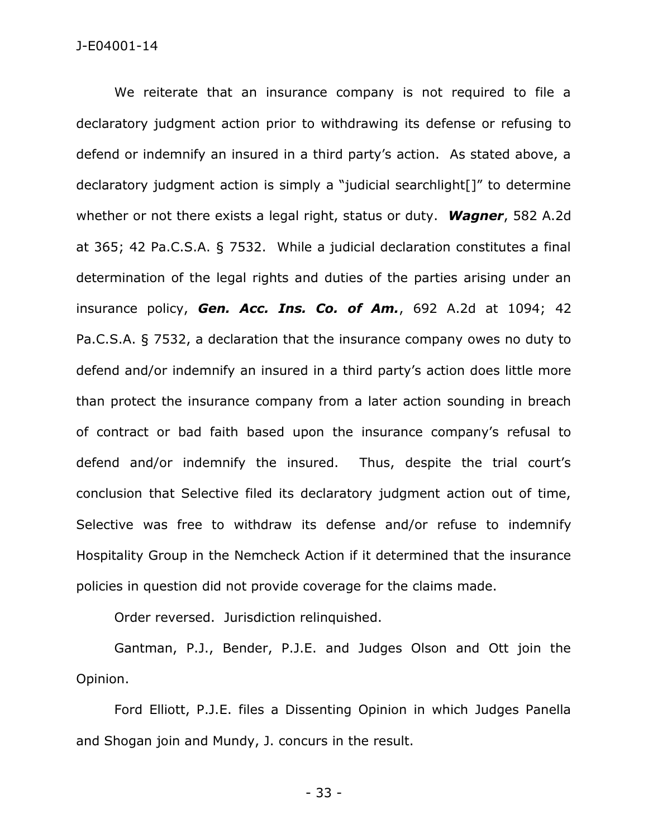We reiterate that an insurance company is not required to file a declaratory judgment action prior to withdrawing its defense or refusing to defend or indemnify an insured in a third party's action. As stated above, a declaratory judgment action is simply a "judicial searchlight[]" to determine whether or not there exists a legal right, status or duty. *Wagner*, 582 A.2d at 365; 42 Pa.C.S.A. § 7532. While a judicial declaration constitutes a final determination of the legal rights and duties of the parties arising under an insurance policy, *Gen. Acc. Ins. Co. of Am.*, 692 A.2d at 1094; 42 Pa.C.S.A. § 7532, a declaration that the insurance company owes no duty to defend and/or indemnify an insured in a third party's action does little more than protect the insurance company from a later action sounding in breach of contract or bad faith based upon the insurance company's refusal to defend and/or indemnify the insured. Thus, despite the trial court's conclusion that Selective filed its declaratory judgment action out of time, Selective was free to withdraw its defense and/or refuse to indemnify Hospitality Group in the Nemcheck Action if it determined that the insurance policies in question did not provide coverage for the claims made.

Order reversed. Jurisdiction relinquished.

Gantman, P.J., Bender, P.J.E. and Judges Olson and Ott join the Opinion.

Ford Elliott, P.J.E. files a Dissenting Opinion in which Judges Panella and Shogan join and Mundy, J. concurs in the result.

- 33 -